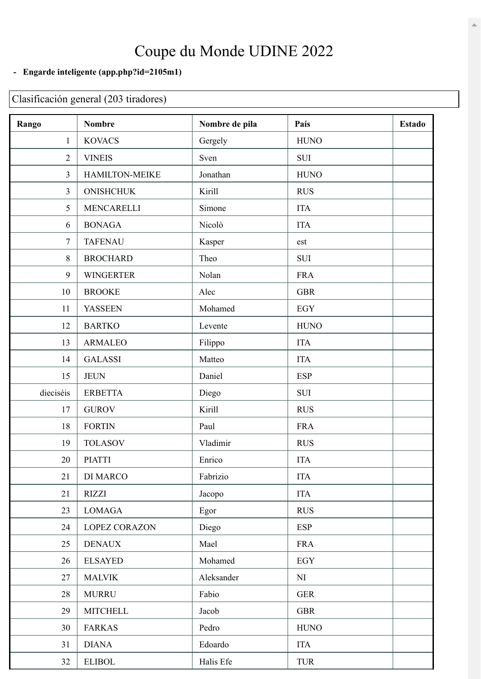## Coupe du Monde UDINE 2022

## **- Engarde inteligente [\(app.php?id=2105m1\)](https://engarde-service.com/app.php?id=2105m1)**

## Clasificación general (203 tiradores)

| Rango          | <b>Nombre</b>    | Nombre de pila | País        | <b>Estado</b> |
|----------------|------------------|----------------|-------------|---------------|
| $\mathbf{1}$   | <b>KOVACS</b>    | Gergely        | <b>HUNO</b> |               |
| $\overline{2}$ | <b>VINEIS</b>    | Sven           | <b>SUI</b>  |               |
| $\overline{3}$ | HAMILTON-MEIKE   | Jonathan       | <b>HUNO</b> |               |
| $\overline{3}$ | <b>ONISHCHUK</b> | Kirill         | <b>RUS</b>  |               |
| 5              | MENCARELLI       | Simone         | <b>ITA</b>  |               |
| 6              | <b>BONAGA</b>    | Nicolò         | <b>ITA</b>  |               |
| $\overline{7}$ | <b>TAFENAU</b>   | Kasper         | est         |               |
| $\,$ $\,$      | <b>BROCHARD</b>  | Theo           | <b>SUI</b>  |               |
| 9              | <b>WINGERTER</b> | Nolan          | <b>FRA</b>  |               |
| 10             | <b>BROOKE</b>    | Alec           | <b>GBR</b>  |               |
| 11             | <b>YASSEEN</b>   | Mohamed        | <b>EGY</b>  |               |
| 12             | <b>BARTKO</b>    | Levente        | <b>HUNO</b> |               |
| 13             | <b>ARMALEO</b>   | Filippo        | <b>ITA</b>  |               |
| 14             | <b>GALASSI</b>   | Matteo         | <b>ITA</b>  |               |
| 15             | <b>JEUN</b>      | Daniel         | <b>ESP</b>  |               |
| dieciséis      | <b>ERBETTA</b>   | Diego          | <b>SUI</b>  |               |
| 17             | <b>GUROV</b>     | Kirill         | <b>RUS</b>  |               |
| 18             | <b>FORTIN</b>    | Paul           | <b>FRA</b>  |               |
| 19             | <b>TOLASOV</b>   | Vladimir       | <b>RUS</b>  |               |
| 20             | <b>PIATTI</b>    | Enrico         | <b>ITA</b>  |               |
| 21             | DI MARCO         | Fabrizio       | <b>ITA</b>  |               |
| 21             | <b>RIZZI</b>     | Jacopo         | <b>ITA</b>  |               |
| 23             | <b>LOMAGA</b>    | Egor           | <b>RUS</b>  |               |
| 24             | LOPEZ CORAZON    | Diego          | <b>ESP</b>  |               |
| 25             | <b>DENAUX</b>    | Mael           | <b>FRA</b>  |               |
| 26             | <b>ELSAYED</b>   | Mohamed        | EGY         |               |
| 27             | <b>MALVIK</b>    | Aleksander     | NI          |               |
| 28             | <b>MURRU</b>     | Fabio          | <b>GER</b>  |               |
| 29             | <b>MITCHELL</b>  | Jacob          | <b>GBR</b>  |               |
| 30             | <b>FARKAS</b>    | Pedro          | <b>HUNO</b> |               |
| 31             | <b>DIANA</b>     | Edoardo        | <b>ITA</b>  |               |
| 32             | <b>ELIBOL</b>    | Halis Efe      | <b>TUR</b>  |               |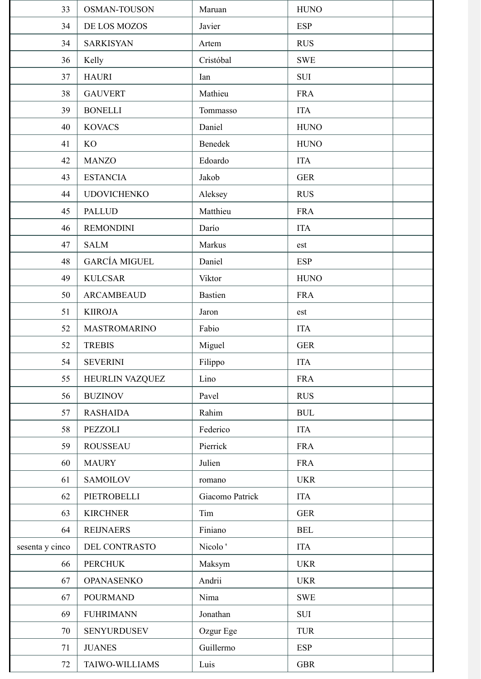| 33              | <b>OSMAN-TOUSON</b>  | Maruan              | <b>HUNO</b> |
|-----------------|----------------------|---------------------|-------------|
| 34              | DE LOS MOZOS         | Javier              | <b>ESP</b>  |
| 34              | <b>SARKISYAN</b>     | Artem               | <b>RUS</b>  |
| 36              | Kelly                | Cristóbal           | <b>SWE</b>  |
| 37              | <b>HAURI</b>         | Ian                 | <b>SUI</b>  |
| 38              | <b>GAUVERT</b>       | Mathieu             | <b>FRA</b>  |
| 39              | <b>BONELLI</b>       | Tommasso            | <b>ITA</b>  |
| 40              | <b>KOVACS</b>        | Daniel              | <b>HUNO</b> |
| 41              | KO                   | Benedek             | <b>HUNO</b> |
| 42              | <b>MANZO</b>         | Edoardo             | <b>ITA</b>  |
| 43              | <b>ESTANCIA</b>      | Jakob               | <b>GER</b>  |
| 44              | <b>UDOVICHENKO</b>   | Aleksey             | <b>RUS</b>  |
| 45              | <b>PALLUD</b>        | Matthieu            | <b>FRA</b>  |
| 46              | <b>REMONDINI</b>     | Darío               | <b>ITA</b>  |
| 47              | <b>SALM</b>          | Markus              | est         |
| 48              | <b>GARCÍA MIGUEL</b> | Daniel              | <b>ESP</b>  |
| 49              | <b>KULCSAR</b>       | Viktor              | <b>HUNO</b> |
| 50              | <b>ARCAMBEAUD</b>    | <b>Bastien</b>      | <b>FRA</b>  |
| 51              | <b>KIIROJA</b>       | Jaron               | est         |
| 52              | <b>MASTROMARINO</b>  | Fabio               | <b>ITA</b>  |
| 52              | <b>TREBIS</b>        | Miguel              | <b>GER</b>  |
| 54              | <b>SEVERINI</b>      | Filippo             | <b>ITA</b>  |
| 55              | HEURLIN VAZQUEZ      | Lino                | <b>FRA</b>  |
| 56              | <b>BUZINOV</b>       | Pavel               | <b>RUS</b>  |
| 57              | <b>RASHAIDA</b>      | Rahim               | <b>BUL</b>  |
| 58              | PEZZOLI              | Federico            | <b>ITA</b>  |
| 59              | <b>ROUSSEAU</b>      | Pierrick            | <b>FRA</b>  |
| 60              | <b>MAURY</b>         | Julien              | <b>FRA</b>  |
| 61              | <b>SAMOILOV</b>      | romano              | <b>UKR</b>  |
| 62              | PIETROBELLI          | Giacomo Patrick     | <b>ITA</b>  |
| 63              | <b>KIRCHNER</b>      | Tim                 | <b>GER</b>  |
| 64              | <b>REIJNAERS</b>     | Finiano             | <b>BEL</b>  |
| sesenta y cinco | DEL CONTRASTO        | Nicolo <sup>'</sup> | <b>ITA</b>  |
| 66              | <b>PERCHUK</b>       | Maksym              | <b>UKR</b>  |
| 67              | <b>OPANASENKO</b>    | Andrii              | <b>UKR</b>  |
| 67              | <b>POURMAND</b>      | Nima                | <b>SWE</b>  |
| 69              | <b>FUHRIMANN</b>     | Jonathan            | <b>SUI</b>  |
| 70              | <b>SENYURDUSEV</b>   | Ozgur Ege           | <b>TUR</b>  |
| 71              | <b>JUANES</b>        | Guillermo           | <b>ESP</b>  |
| 72              | TAIWO-WILLIAMS       | Luis                | <b>GBR</b>  |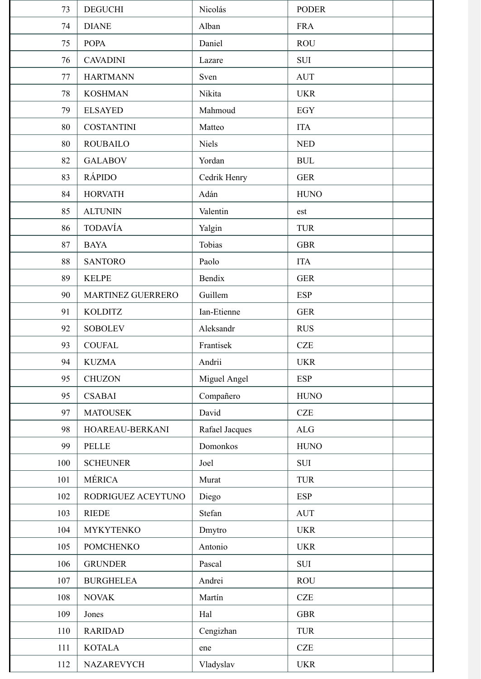| 73  | <b>DEGUCHI</b>     | Nicolás        | <b>PODER</b> |  |
|-----|--------------------|----------------|--------------|--|
| 74  | <b>DIANE</b>       | Alban          | <b>FRA</b>   |  |
| 75  | <b>POPA</b>        | Daniel         | <b>ROU</b>   |  |
| 76  | <b>CAVADINI</b>    | Lazare         | <b>SUI</b>   |  |
| 77  | <b>HARTMANN</b>    | Sven           | <b>AUT</b>   |  |
| 78  | <b>KOSHMAN</b>     | Nikita         | <b>UKR</b>   |  |
| 79  | <b>ELSAYED</b>     | Mahmoud        | EGY          |  |
| 80  | <b>COSTANTINI</b>  | Matteo         | <b>ITA</b>   |  |
| 80  | <b>ROUBAILO</b>    | <b>Niels</b>   | <b>NED</b>   |  |
| 82  | <b>GALABOV</b>     | Yordan         | <b>BUL</b>   |  |
| 83  | <b>RÁPIDO</b>      | Cedrik Henry   | <b>GER</b>   |  |
| 84  | <b>HORVATH</b>     | Adán           | <b>HUNO</b>  |  |
| 85  | <b>ALTUNIN</b>     | Valentin       | est          |  |
| 86  | <b>TODAVÍA</b>     | Yalgin         | <b>TUR</b>   |  |
| 87  | <b>BAYA</b>        | Tobias         | <b>GBR</b>   |  |
| 88  | <b>SANTORO</b>     | Paolo          | <b>ITA</b>   |  |
| 89  | <b>KELPE</b>       | Bendix         | <b>GER</b>   |  |
| 90  | MARTINEZ GUERRERO  | Guillem        | <b>ESP</b>   |  |
| 91  | <b>KOLDITZ</b>     | Ian-Etienne    | <b>GER</b>   |  |
| 92  | <b>SOBOLEV</b>     | Aleksandr      | <b>RUS</b>   |  |
| 93  | <b>COUFAL</b>      | Frantisek      | CZE          |  |
| 94  | <b>KUZMA</b>       | Andrii         | <b>UKR</b>   |  |
| 95  | <b>CHUZON</b>      | Miguel Angel   | <b>ESP</b>   |  |
| 95  | <b>CSABAI</b>      | Compañero      | <b>HUNO</b>  |  |
| 97  | <b>MATOUSEK</b>    | David          | CZE          |  |
| 98  | HOAREAU-BERKANI    | Rafael Jacques | $\rm ALG$    |  |
| 99  | <b>PELLE</b>       | Domonkos       | <b>HUNO</b>  |  |
| 100 | <b>SCHEUNER</b>    | Joel           | <b>SUI</b>   |  |
| 101 | MÉRICA             | Murat          | <b>TUR</b>   |  |
| 102 | RODRIGUEZ ACEYTUNO | Diego          | <b>ESP</b>   |  |
| 103 | <b>RIEDE</b>       | Stefan         | <b>AUT</b>   |  |
| 104 | <b>MYKYTENKO</b>   | Dmytro         | <b>UKR</b>   |  |
| 105 | <b>POMCHENKO</b>   | Antonio        | <b>UKR</b>   |  |
| 106 | <b>GRUNDER</b>     | Pascal         | <b>SUI</b>   |  |
| 107 | <b>BURGHELEA</b>   | Andrei         | <b>ROU</b>   |  |
| 108 | <b>NOVAK</b>       | Martín         | <b>CZE</b>   |  |
| 109 | Jones              | Hal            | <b>GBR</b>   |  |
| 110 | <b>RARIDAD</b>     | Cengizhan      | <b>TUR</b>   |  |
| 111 | <b>KOTALA</b>      | ene            | CZE          |  |
| 112 | NAZAREVYCH         | Vladyslav      | <b>UKR</b>   |  |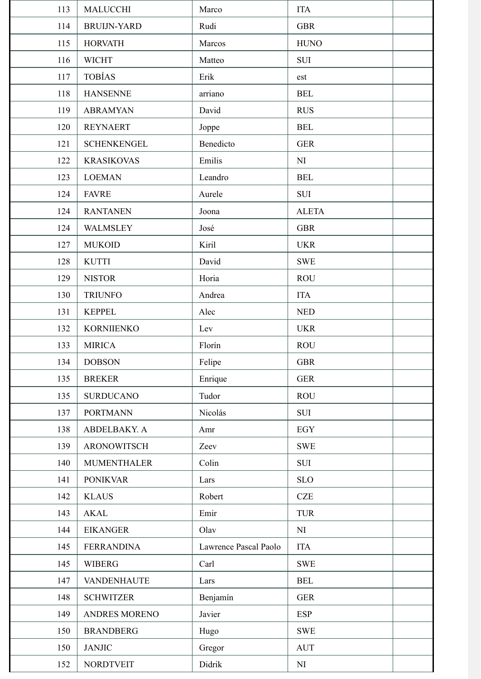| 113 | <b>MALUCCHI</b>    | Marco                 | <b>ITA</b>           |  |
|-----|--------------------|-----------------------|----------------------|--|
| 114 | <b>BRUIJN-YARD</b> | Rudi                  | <b>GBR</b>           |  |
| 115 | <b>HORVATH</b>     | Marcos                | <b>HUNO</b>          |  |
| 116 | <b>WICHT</b>       | Matteo                | <b>SUI</b>           |  |
| 117 | <b>TOBÍAS</b>      | Erik                  | est                  |  |
| 118 | <b>HANSENNE</b>    | arriano               | <b>BEL</b>           |  |
| 119 | <b>ABRAMYAN</b>    | David                 | <b>RUS</b>           |  |
| 120 | <b>REYNAERT</b>    | Joppe                 | <b>BEL</b>           |  |
| 121 | <b>SCHENKENGEL</b> | Benedicto             | <b>GER</b>           |  |
| 122 | <b>KRASIKOVAS</b>  | Emilis                | NI                   |  |
| 123 | <b>LOEMAN</b>      | Leandro               | <b>BEL</b>           |  |
| 124 | <b>FAVRE</b>       | Aurele                | <b>SUI</b>           |  |
| 124 | <b>RANTANEN</b>    | Joona                 | <b>ALETA</b>         |  |
| 124 | <b>WALMSLEY</b>    | José                  | <b>GBR</b>           |  |
| 127 | <b>MUKOID</b>      | Kiril                 | <b>UKR</b>           |  |
| 128 | <b>KUTTI</b>       | David                 | <b>SWE</b>           |  |
| 129 | <b>NISTOR</b>      | Horia                 | <b>ROU</b>           |  |
| 130 | <b>TRIUNFO</b>     | Andrea                | <b>ITA</b>           |  |
| 131 | <b>KEPPEL</b>      | Alec                  | <b>NED</b>           |  |
| 132 | <b>KORNIJENKO</b>  | Lev                   | <b>UKR</b>           |  |
| 133 | <b>MIRICA</b>      | Florín                | <b>ROU</b>           |  |
| 134 | <b>DOBSON</b>      | Felipe                | <b>GBR</b>           |  |
| 135 | <b>BREKER</b>      | Enrique               | <b>GER</b>           |  |
| 135 | <b>SURDUCANO</b>   | Tudor                 | <b>ROU</b>           |  |
| 137 | <b>PORTMANN</b>    | Nicolás               | SUI                  |  |
| 138 | ABDELBAKY. A       | Amr                   | EGY                  |  |
| 139 | <b>ARONOWITSCH</b> | Zeev                  | <b>SWE</b>           |  |
| 140 | <b>MUMENTHALER</b> | Colin                 | SUI                  |  |
| 141 | <b>PONIKVAR</b>    | Lars                  | <b>SLO</b>           |  |
| 142 | <b>KLAUS</b>       | Robert                | CZE                  |  |
| 143 | <b>AKAL</b>        | Emir                  | <b>TUR</b>           |  |
| 144 | <b>EIKANGER</b>    | Olav                  | NI                   |  |
| 145 | <b>FERRANDINA</b>  | Lawrence Pascal Paolo | <b>ITA</b>           |  |
| 145 | <b>WIBERG</b>      | Carl                  | <b>SWE</b>           |  |
| 147 | <b>VANDENHAUTE</b> | Lars                  | $\operatorname{BEL}$ |  |
| 148 | <b>SCHWITZER</b>   | Benjamín              | <b>GER</b>           |  |
| 149 | ANDRES MORENO      | Javier                | <b>ESP</b>           |  |
| 150 | <b>BRANDBERG</b>   | Hugo                  | <b>SWE</b>           |  |
| 150 | <b>JANJIC</b>      | Gregor                | <b>AUT</b>           |  |
| 152 | <b>NORDTVEIT</b>   | Didrik                | NI                   |  |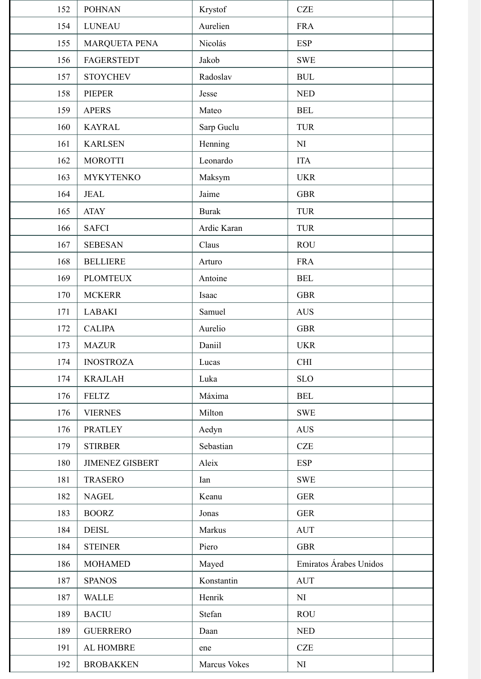| 152 | <b>POHNAN</b>          | Krystof      | <b>CZE</b>                       |
|-----|------------------------|--------------|----------------------------------|
| 154 | <b>LUNEAU</b>          | Aurelien     | <b>FRA</b>                       |
| 155 | <b>MARQUETA PENA</b>   | Nicolás      | <b>ESP</b>                       |
| 156 | <b>FAGERSTEDT</b>      | Jakob        | <b>SWE</b>                       |
| 157 | <b>STOYCHEV</b>        | Radoslav     | <b>BUL</b>                       |
| 158 | <b>PIEPER</b>          | Jesse        | <b>NED</b>                       |
| 159 | <b>APERS</b>           | Mateo        | <b>BEL</b>                       |
| 160 | <b>KAYRAL</b>          | Sarp Guclu   | <b>TUR</b>                       |
| 161 | <b>KARLSEN</b>         | Henning      | NI                               |
| 162 | <b>MOROTTI</b>         | Leonardo     | <b>ITA</b>                       |
| 163 | <b>MYKYTENKO</b>       | Maksym       | <b>UKR</b>                       |
| 164 | <b>JEAL</b>            | Jaime        | <b>GBR</b>                       |
| 165 | <b>ATAY</b>            | <b>Burak</b> | <b>TUR</b>                       |
| 166 | <b>SAFCI</b>           | Ardic Karan  | <b>TUR</b>                       |
| 167 | <b>SEBESAN</b>         | Claus        | <b>ROU</b>                       |
| 168 | <b>BELLIERE</b>        | Arturo       | <b>FRA</b>                       |
| 169 | <b>PLOMTEUX</b>        | Antoine      | <b>BEL</b>                       |
| 170 | <b>MCKERR</b>          | Isaac        | <b>GBR</b>                       |
| 171 | <b>LABAKI</b>          | Samuel       | <b>AUS</b>                       |
| 172 | <b>CALIPA</b>          | Aurelio      | <b>GBR</b>                       |
| 173 | <b>MAZUR</b>           | Daniil       | <b>UKR</b>                       |
| 174 | <b>INOSTROZA</b>       | Lucas        | CHI                              |
| 174 | <b>KRAJLAH</b>         | Luka         | <b>SLO</b>                       |
| 176 | <b>FELTZ</b>           | Máxima       | <b>BEL</b>                       |
| 176 | <b>VIERNES</b>         | Milton       | <b>SWE</b>                       |
| 176 | <b>PRATLEY</b>         | Aedyn        | <b>AUS</b>                       |
| 179 | <b>STIRBER</b>         | Sebastian    | <b>CZE</b>                       |
| 180 | <b>JIMENEZ GISBERT</b> | Aleix        | <b>ESP</b>                       |
| 181 | <b>TRASERO</b>         | Ian          | <b>SWE</b>                       |
| 182 | <b>NAGEL</b>           | Keanu        | <b>GER</b>                       |
| 183 | <b>BOORZ</b>           | Jonas        | <b>GER</b>                       |
| 184 | <b>DEISL</b>           | Markus       | $\mathbf{A}\mathbf{U}\mathbf{T}$ |
| 184 | <b>STEINER</b>         | Piero        | <b>GBR</b>                       |
| 186 | <b>MOHAMED</b>         | Mayed        | Emiratos Árabes Unidos           |
| 187 | <b>SPANOS</b>          | Konstantin   | <b>AUT</b>                       |
| 187 | <b>WALLE</b>           | Henrik       | NI                               |
| 189 | <b>BACIU</b>           | Stefan       | <b>ROU</b>                       |
| 189 | <b>GUERRERO</b>        | Daan         | <b>NED</b>                       |
| 191 | AL HOMBRE              | ene          | <b>CZE</b>                       |
| 192 | <b>BROBAKKEN</b>       | Marcus Vokes | NI                               |